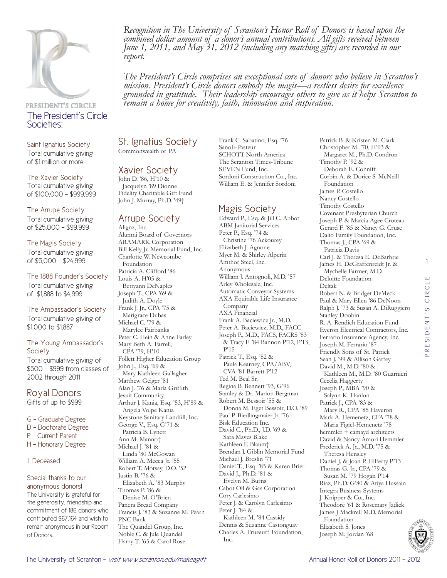

## PRESIDENT'S CIRCLE The President's Circle Societies:

Saint Ignatius Society Total cumulative giving of \$1 million or more

The Xavier Society Total cumulative giving of \$100,000 - \$999,999

The Arrupe Society Total cumulative giving of \$25,000 - \$99,999

The Magis Society Total cumulative giving of \$5,000 - \$24,999

The 1888 Founder's Society Total cumulative giving of \$1,888 to \$4,999

The Ambassador's Society Total cumulative giving of \$1,000 to \$1,887

#### The Young Ambassador's **Society**

Total cumulative giving of \$500 - \$999 from classes of 2002 through 2011

### Royal Donors Gifts of up to \$999

- G Graduate Degree
- D Doctorate Degree
- P Current Parent
- H Honorary Degree

### † Deceased

#### Special thanks to our anonymous donors!

The University is grateful for the generosity, friendship and commitment of 186 donors who contributed \$67,164 and wish to remain anonymous in our Report of Donors.

*Recognition in The University of Scranton's Honor Roll of Donors is based upon the combined dollar amount of a donor's annual contributions. All gifts received between June 1, 2011, and May 31, 2012 (including any matching gifts) are recorded in our report.* 

*The President's Circle comprises an exceptional core of donors who believe in Scranton's mission. President's Circle donors embody the magis—a restless desire for excellence grounded in gratitude. Their leadership encourages others to give as it helps Scranton to remain a home for creativity, faith, innovation and inspiration.*

St. Ignatius Society Commonwealth of PA

## Xavier Society

John D. '86, H'10 & Jacquelyn '89 Dionne Fidelity Charitable Gift Fund John J. Murray, Ph.D. '49†

# Arrupe Society

Alignz, Inc. Alumni Board of Governors ARAMARK Corporation Bill Kelly Jr. Memorial Fund, Inc. Charlotte W. Newcombe Foundation Patricia A. Clifford '86 Louis A. H'05 & Bettyann DeNaples Joseph T., CPA '69 & Judith A. Doyle Frank J. Jr., CPA '75 & Marigrace Dubas Michael C. '79 & Marylee Fairbanks Peter C. Hein & Anne Farley Mary Beth A. Farrell, CPA '79, H'10 Follett Higher Education Group John J., Esq. '69 & Mary Kathleen Gallagher Matthew Geiger '81 Alan J. '76 & Marla Griffith Jesuit Community Arthur J. Kania, Esq. '53, H'89 & Angela Volpe Kania Keystone Sanitary Landfill, Inc. George V., Esq. G'71 & Patricia B. Lynett Ann M. Manno† Michael J. '81 & Linda '80 McGowan William A. Mecca Jr. '55 Robert T. Motsay, D.O. '52 Justin B. '76 & Elizabeth A. '83 Murphy Thomas P. '86 & Denise M. O'Brien Panera Bread Company Francis J. '83 & Suzanne M. Pearn PNC Bank The Quandel Group, Inc. Noble C. & Jule Quandel Harry T. '65 & Carol Rose

Frank C. Sabatino, Esq. '76 Sanofi-Pasteur SCHOTT North America The Scranton Times-Tribune SEVEN Fund, Inc. Sordoni Construction Co., Inc. William E. & Jennifer Sordoni

# Magis Society

Edward P., Esq. & Jill C. Abbot ABM Janitorial Services Peter P., Esq. '74 & Christine '76 Ackourey Elizabeth J. Agnone Myer M. & Shirley Alperin Amthor Steel, Inc. Anonymous William J. Antognoli, M.D. '57 Arley Wholesale, Inc. Automatic Conveyor Systems AXA Equitable Life Insurance Company AXA Financial Frank A. Baciewicz Jr., M.D. Peter A. Baciewicz, M.D., FACC Joseph P., M.D., FACS, FACRS '83 & Tracy F. '84 Bannon P'12, P'13, P'15 Patrick T., Esq. '82 & Paula Kearney, CPA/ABV, CVA '81 Barrett P'12 Ted M. Beal Sr. Regina B. Bennett '93, G'96 Stanley & Dr. Marion Bergman Robert M. Bessoir '55 & Donna M. Eget Bessoir, D.O. '89 Paul P. Biedlingmaier Jr. '76 Bisk Education Inc. David C., Ph.D., J.D. '69 & Sara Mayes Blake Kathleen F. Blaum† Brendan J. Giblin Memorial Fund Michael J. Breslin '71 Daniel T., Esq. '85 & Karen Brier David J., Ph.D. '81 & Evelyn M. Burns Cabot Oil & Gas Corporation Cory Carlesimo Peter J. & Carolyn Carlesimo Peter J. '84 & Kathleen M. '84 Cassidy Dennis & Suzanne Castonguay Charles A. Frueauff Foundation, Inc.

Patrick B. & Kristen M. Clark Christopher M. '70, H'03 & Margaret M., Ph.D. Condron Timothy P. '92 & Deborah E. Conniff Corbin A. & Dorice S. McNeill Foundation James P. Costello Nancy Costello Timothy Costello Covenant Presbyterian Church Joseph P. & Marcia Agee Croteau Gerard F. '85 & Nancy G. Cruse Dalio Family Foundation, Inc. Thomas J., CPA '69 & Patricia Davis Carl J. & Theresa E. DeBarbrie James H. DeGraffenreidt Jr. & Mychelle Farmer, M.D. Deloitte Foundation Deltak Robert N. & Bridget DeMeck Paul & Mary Ellen '86 DeNoon Ralph J. '73 & Susan A. DiRuggiero Stanley Doobin R. A. Rendich Education Fund Everon Electrical Contractors, Inc. Ferrario Insurance Agency, Inc. Joseph M. Ferrario '87 Friendly Sons of St. Patrick Sean J. '99 & Allison Gaffey David M., M.D. '80 & Kathleen M., M.D. '80 Guarnieri Cecelia Haggerty Joseph P., MBA '90 & Salynn K. Hanlon Patrick J., CPA '83 & Mary R., CPA '85 Haveron Mark A. Hemenetz, CFA '78 & Maria Figiel-Hemenetz '78 hemmler + camayd architects David & Nancy Amori Hemmler Frederick A. Jr., M.D. '75 & Theresa Hensley Daniel J. & Joan P. Hilferty P'13 Thomas G. Jr., CPA '79 & Susan M. '79 Hogan P'14 Riaz, Ph.D. G'80 & Atiya Hussain Integra Business Systems J. Knipper & Co., Inc. Theodore '61 & Rosemary Jadick James J Mackrell M.D. Memorial Foundation

1

Elizabeth S. Jones Joseph M. Jordan '68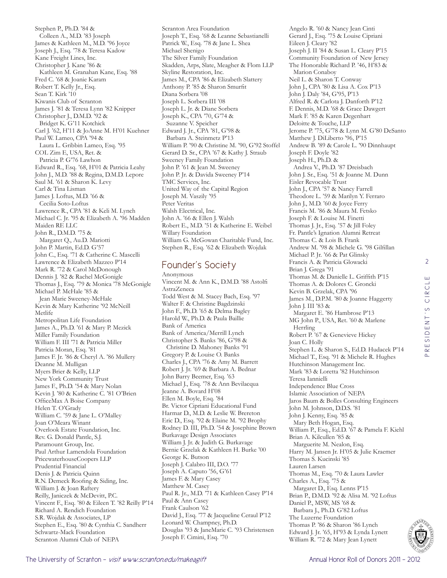Stephen P., Ph.D. '84 & Colleen A., M.D. '83 Joseph James & Kathleen M., M.D. '96 Joyce Joseph J., Esq. '78 & Teresa Kadow Kane Freight Lines, Inc. Christopher J. Kane '86 & Kathleen M. Granahan Kane, Esq. '88 Fred C. '68 & Joanie Karam Robert T. Kelly Jr., Esq. Sean T. Kirk '10 Kiwanis Club of Scranton James J. '81 & Teresa Lynn '82 Knipper Christopher J., D.M.D. '92 & Bridget K. G'11 Kotchick Carl J. '62, H'11 & JoAnne M. H'01 Kuehner Paul W. Lameo, CPA '94 & Laura L. Gribbin Lameo, Esq. '95 COL Zim E, USA, Ret. & Patricia P. G'76 Lawhon Edward R., Esq. '68, H'01 & Patricia Leahy John J., M.D. '88 & Regina, D.M.D. Lepore Saul M. '61 & Sharon K. Levy Carl & Tina Lisman James J. Loftus, M.D. '66 & Cecilia Soto-Loftus Lawrence R., CPA '81 & Keli M. Lynch Michael C. Jr. '95 & Elizabeth A. '96 Madden Maiden RE LLC John R., D.M.D. '75 & Margaret Q., Au.D. Mariotti John P. Martin, Ed.D. G'57 John C., Esq. '71 & Catherine C. Mascelli Lawrence & Elizabeth Mazzeo P'14 Mark R. '72 & Carol McDonough Dennis J. '82 & Rachel McGonigle Thomas J., Esq. '79 & Monica '78 McGonigle Michael P. McHale '85 & Jean Marie Sweeney-McHale Kevin & Mary Katherine '92 McNeill Metlife Metropolitan Life Foundation James A., Ph.D. '61 & Mary P. Mezick Miller Family Foundation William F. III '71 & Patricia Miller Patricia Moran, Esq. '81 James F. Jr. '86 & Cheryl A. '86 Mullery Deanne M. Mulligan Myers Brier & Kelly, LLP New York Community Trust James F., Ph.D. '54 & Mary Nolan Kevin J. '80 & Katherine C. '81 O'Brien OfficeMax A Boise Company Helen T. O'Grady William C. '59 & Jane L. O'Malley Joan O'Meara Winant Overlook Estate Foundation, Inc. Rev. G. Donald Pantle, S.J. Paramount Group, Inc. Paul Arthur Lamendola Foundation PricewaterhouseCoopers LLP Prudential Financial Denis J. & Patricia Quinn R.N. Demeck Roofing & Siding, Inc. William J. & Joan Raftery Reilly, Janiczek & McDevitt, P.C. Vincent F., Esq. '80 & Eileen T. '82 Reilly P'14 Richard A. Rendich Foundation S.R. Wojdak & Associates, LP Stephen E., Esq. '80 & Cynthia C. Sandherr Schwartz-Mack Foundation Scranton Alumni Club of NEPA

Scranton Area Foundation Joseph T., Esq. '68 & Leanne Sebastianelli Patrick W., Esq. '78 & Jane L. Shea Michael Shenigo The Silver Family Foundation Skadden, Arps, Slate, Meagher & Flom LLP Skyline Restoration, Inc. James M., CPA '86 & Elizabeth Slattery Anthony P. '85 & Sharon Smurfit Diana Sorbera '08 Joseph L. Sorbera III '08 Joseph L. Jr. & Diane Sorbera Joseph K., CPA '70, G'74 & Suzanne V. Speicher Edward J. Jr., CPA '81, G'98 & Barbara A. Steinmetz P'13 William P. '90 & Christine M. '90, G'92 Stoffel Gerard D. Sr., CPA '67 & Kathy J. Straub Sweeney Family Foundation John P. '61 & Jean M. Sweeney John P. Jr. & Davida Sweeney P'14 TMC Services, Inc. United Way of the Capital Region Joseph M. Vaszily '95 Peter Veritas Walsh Electrical, Inc. John A. '66 & Ellen J. Walsh Robert E., M.D. '51 & Katherine E. Weibel Willary Foundation William G. McGowan Charitable Fund, Inc. Stephen R., Esq. '62 & Elizabeth Wojdak

# Founder's Society

Anonymous Vincent M. & Ann K., D.M.D. '88 Astolfi AstraZeneca Todd West & M. Stacey Bach, Esq. '97 Walter F. & Christine Bagdzinski John F., Ph.D. '65 & Delma Bagley Harold W., Ph.D. & Paula Baillie Bank of America Bank of America/Merrill Lynch Christopher S. Banks '86, G'98 & Christine D. Mahoney Banks '91 Gregory P. & Louise O. Banks Charles J., CPA '76 & Amy M. Barrett Robert J. Jr. '69 & Barbara A. Bednar John Barry Beemer, Esq. '63 Michael J., Esq. '78 & Ann Bevilacqua Jeanne A. Bovard H'08 Ellen M. Boyle, Esq. '84 Br. Victor Cipriani Educational Fund Harmar D., M.D. & Leslie W. Brereton Eric D., Esq. '92 & Elaine M. '92 Brophy Rodney D. III, Ph.D. '54 & Josephine Brown Burkavage Design Associates William J. Jr. & Judith G. Burkavage Bernie Grzelak & Kathleen H. Burke '00 George K. Butson Joseph J. Calabro III, D.O. '77 Joseph A. Caputo '56, G'61 James F. & Mary Casey Matthew M. Casey Paul R. Jr., M.D. '71 & Kathleen Casey P'14 Paul & Ann Casey Frank Caulson '62 David J., Esq. '77 & Jacqueline Ceraul P'12 Leonard W. Champney, Ph.D. Douglas '93 & JaneMarie C. '93 Christensen Joseph F. Cimini, Esq. '70

Angelo R. '60 & Nancy Jean Cinti Gerard J., Esq. '75 & Louise Cipriani Eileen J. Cleary '82 Joseph J. II '84 & Susan L. Cleary P'15 Community Foundation of New Jersey The Honorable Richard P. '46, H'83 & Marion Conaboy Neil L. & Sharon T. Conway John J., CPA '80 & Lisa A. Cox P'13 John J. Daly '84, G'95, P'13 Alfred R. & Carlota J. Danforth P'12 F. Dennis, M.D. '68 & Grace Dawgert Mark F. '85 & Karen Degenhart Deloitte & Touche, LLP Jerome P. '75, G'78 & Lynn M. G'80 DeSanto Matthew J. DiLiberto '96, P'15 Andrew B. '89 & Carole L. '90 Dinnhaupt Joseph F. Doyle '82 Joseph H., Ph.D. & Andrea V., Ph.D. '87 Dreisbach John J. Sr., Esq. '51 & Joanne M. Dunn Eisler Revocable Trust John J., CPA '57 & Nancy Farrell Theodore L. '59 & Marilyn Y. Ferraro John J., M.D. '60 & Joyce Ferry Francis M. '86 & Maura M. Fetsko Joseph F. & Louise M. Finetti Thomas J. Jr., Esq. '57 & Jill Foley Fr. Pantle's Ignation Alumni Retreat Thomas C. & Lois B. Frank Andrew M. '98 & Michele G. '98 Gilfillan Michael P. Jr. '66 & Pat Glinsky Francis A. & Patricia Glowacki Brian J. Grega '91 Thomas M. & Danielle L. Griffith P'15 Thomas A. & Dolores C. Groncki Kevin B. Grzelak, CPA '96 James M., D.P.M. '80 & Joanne Haggerty John J. III '83 & Margaret E. '86 Hambrose P'13 MG John P., USA, Ret. '60 & Marlene Herrling Robert P. '67 & Genevieve Hickey Joan C. Holly Stephen L. & Sharon S., Ed.D. Hudacek P'14 Michael T., Esq. '91 & Michele R. Hughes Hutchinson Management Inc. Mark '83 & Loretta '82 Hutchinson Teresa Iannielli Independence Blue Cross Islamic Association of NEPA Jaros Baum & Bolles Consulting Engineers John M. Johnson, D.D.S. '81 John J. Kenny, Esq. '85 & Mary Beth Hogan, Esq. William P., Esq., Ed.D. '67 & Pamela F. Kiehl Brian A. Kilcullen '85 & Marguerite M. Nealon, Esq. Harry M. Jansen Jr. H'05 & Julie Kraemer Thomas S. Kucinski '85 Lauren Larsen Thomas M., Esq. '70 & Laura Lawler Charles A., Esq. '75 & Margaret D., Esq. Lenns P'15 Brian P., D.M.D. '92 & Alisa M. '92 Loftus Daniel P., MSW, MS '68 & Barbara J., Ph.D. G'82 Loftus The Luzerne Foundation Thomas P. '86 & Sharon '86 Lynch Edward J. Jr. '65, H'93 & Lynda Lynett William R. '72 & Mary Jean Lynett



2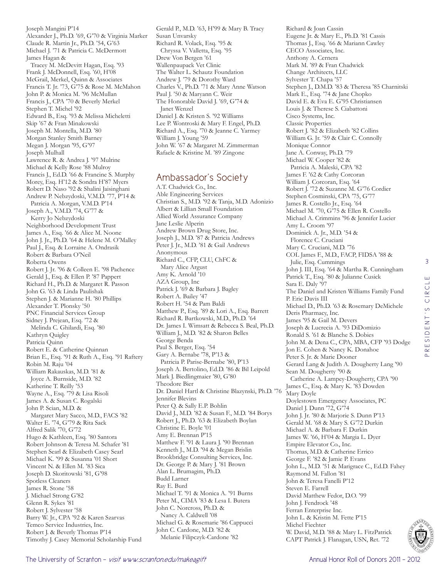Joseph Mangini P'14 Alexander J., Ph.D. '69, G'70 & Virginia Marker Claude R. Martin Jr., Ph.D. '54, G'63 Michael J. '71 & Patricia C. McDermott James Hagan & Tracey M. McDevitt Hagan, Esq. '93 Frank J. McDonnell, Esq. '60, H'08 McGrail, Merkel, Quinn & Associates Francis T. Jr. '73, G'75 & Rose M. McMahon John P. & Monica M. '96 McMullan Francis J., CPA '70 & Beverly Merkel Stephen T. Michel '92 Edward B., Esq. '93 & Melissa Micheletti Skip '67 & Fran Minakowski Joseph M. Montella, M.D. '80 Morgan Stanley Smith Barney Megan J. Morgan '95, G'97 Joseph Mulhall Lawrence R. & Andrea J. '97 Mulrine Michael & Kelly Rose '88 Mulroy Francis J., Ed.D. '66 & Francine S. Murphy Morey, Esq. H'12 & Sondra H'87 Myers Robert D. Naso '92 & Shalini Jaisinghani Andrew P. Nebzydoski, V.M.D. '77, P'14 & Patricia A. Morgan, V.M.D. P'14 Joseph A., V.M.D. '74, G'77 & Kerry Jo Nebzydoski Neighborhood Development Trust James A., Esq. '66 & Alice M. Noone John J. Jr., Ph.D. '64 & Helene M. O'Malley Paul J., Esq. & Lorraine A. Ondrasik Robert & Barbara O'Neil Roberta Owens Robert J. Jr. '96 & Colleen E. '98 Pachence Gerald J., Esq. & Ellen P. '87 Pappert Richard H., Ph.D. & Margaret R. Passon John G. '63 & Linda Paulishak Stephen J. & Marianne H. '80 Phillips Alexander T. Plonsky '50 PNC Financial Services Group Sidney J. Prejean, Esq. '72 & Melinda C. Ghilardi, Esq. '80 Kathryn Quigley Patricia Quinn Robert E. & Catherine Quinnan Brian E., Esq. '91 & Ruth A., Esq. '91 Raftery Robin M. Raju '04 William Rakauskas, M.D. '81 & Joyce A. Burnside, M.D. '82 Katherine T. Reilly '53 Wayne A., Esq. '79 & Lisa Risoli James A. & Susan C. Rogalski John P. Scian, M.D. & Margaret Mary Sacco, M.D., FACS '82 Walter E. '74, G'79 & Rita Sack Alfred Salik '70, G'72 Hugo & Kathleen, Esq. '80 Santora Robert Johnson & Teresa M. Schafer '81 Stephen Searl & Elizabeth Casey Searl Michael K. '99 & Susanna '01 Short Vincent N. & Ellen M. '83 Sica Joseph D. Skoritowski '81, G'98 Spotless Cleaners James R. Stone '58 J. Michael Strong G'82 Glenn R. Sykes '81 Robert J. Sylvester '58 Barry W. Jr., CPA '92 & Karen Szarvas Temco Service Industries, Inc. Robert J. & Beverly Thomas P'14 Timothy J. Casey Memorial Scholarship Fund

Gerald P., M.D. '63, H'99 & Mary B. Tracy Susan Unvarsky Richard R. Volack, Esq. '95 & Chryssa V. Valletta, Esq. '95 Drew Von Bergen '61 Wallenpaupack Vet Clinic The Walter L. Schautz Foundation Andrew J. '79 & Dorothy Ward Charles V., Ph.D. '71 & Mary Anne Watson Paul J. '50 & Maryann C. Weir The Honorable David J. '69, G'74 & Janet Wenzel Daniel J. & Kristen S. '92 Williams Lee P. Wontroski & Mary F. Engel, Ph.D. Richard A., Esq. '70 & Jeanne C. Yarmey William J. Young '59 John W. '67 & Margaret M. Zimmerman Rafaele & Kristine M. '89 Zingone

## Ambassador's Society

A.T. Chadwick Co., Inc. Able Engineering Services Christian S., M.D. '92 & Tanja, M.D. Adonizio Albert & Lillian Small Foundation Allied World Assurance Company Jane Leslie Alperin Andrew Brown Drug Store, Inc. Joseph J., M.D. '87 & Patricia Andrews Peter J. Jr., M.D. '81 & Gail Andrews Anonymous Richard C., CFP, CLU, ChFC & Mary Alice Argust Amy K. Arnold '10 AZA Group, Inc Patrick J. '69 & Barbara J. Bagley Robert A. Bailey '47 Robert H. '54 & Pam Baldi Matthew P., Esq. '89 & Lori A., Esq. Barrett Richard R. Bartkowski, M.D., Ph.D. '64 Dr. James I. Wimsatt & Rebecca S. Beal, Ph.D. William J., M.D. '82 & Sharon Belles George Benda Paul S. Berger, Esq. '54 Gary A. Bernabe '78, P'13 & Patricia P. Parise-Bernabe '80, P'13 Joseph A. Bertolino, Ed.D. '86 & Bil Leipold Mark J. Biedlingmaier '80, G'80 Theodore Bier Dr. Daniel Hartl & Christine Blazynski, Ph.D. '76 Jennifer Blevins Peter Q. & Sally E.P. Bohlin David J., M.D. '82 & Susan F., M.D. '84 Borys Robert J., Ph.D. '63 & Elizabeth Boylan Christine E. Boyle '01 Amy E. Brennan P'15 Matthew F. '91 & Laura J. '90 Brennan Kenneth J., M.D. '94 & Megan Brislin Brookbridge Consulting Services, Inc. Dr. George P. & Mary J. '81 Brown Alan L. Brumagim, Ph.D. Budd Larner Ray E. Burd Michael T. '91 & Monica A. '91 Burns Peter M., CIMA '83 & Lesa I. Butera John C. Norcross, Ph.D. & Nancy A. Caldwell '08 Michael G. & Rosemarie '86 Cappucci John C. Cardone, M.D. '82 & Melanie Filipczyk-Cardone '82

Richard & Joan Cassin Eugene Jr. & Mary E., Ph.D. '81 Cassis Thomas J., Esq. '66 & Mariann Cawley CECO Associates, Inc. Anthony A. Cernera Mark M. '89 & Fran Chadwick Change Architects, LLC Sylvester T. Chapa '57 Stephen J., D.M.D. '83 & Theresa '85 Charnitski Mark E., Esq. '74 & Jane Chopko David E. & Eva E. G'95 Christiansen Louis J. & Therese S. Ciabattoni Cisco Systems, Inc. Classic Properties Robert J. '82 & Elizabeth '82 Collins William G. Jr. '59 & Clair C. Connolly Monique Connor Jane A. Conway, Ph.D. '79 Michael W. Cooper '82 & Patricia A. Maleski, CPA '82 James F. '62 & Cathy Corcoran William J. Corcoran, Esq. '64 Robert J. '72 & Suzanne M. G'76 Cordier Stephen Cosminski, CPA '75, G'77 James R. Costello Jr., Esq. '64 Michael M. '70, G'75 & Ellen R. Costello Michael A. Crimmins '96 & Jennifer Lucier Amy L. Croom '97 Dominick A. Jr., M.D. '54 & Florence C. Cruciani Mary C. Cruciani, M.D. '76 COL James F., M.D., FACP, FIDSA '88 & Julie, Esq. Cummings John J. III, Esq. '64 & Martha R. Cunningham Patrick T., Esq. '80 & Julianne Cusick Sara E. Daly '97 The Daniel and Kristen Williams Family Fund P. Eric Davis III Michael D., Ph.D. '63 & Rosemary DeMichele Deris Pharmacy, Inc. James '95 & Gail M. Devers Joseph & Lucrecia A. '93 DiDomizio Ronald S. '61 & Blanche S. Dobies John M. & Dena C., CPA, MBA, CFP '93 Dodge Jon E. Cohen & Nancy K. Donahoe Peter S. Jr. & Marie Dooner Gerard Lang & Judith A. Dougherty Lang '90 Sean M. Dougherty '90 & Catherine A. Lampey-Dougherty, CPA '90 James C., Esq. & Mary K. '83 Dowden Mary Doyle Doylestown Emergency Associates, PC Daniel J. Dunn '72, G'74 John J. Jr. '80 & Marjorie S. Dunn P'13 Gerald M. '68 & Mary S. G'72 Durkin Michael A. & Barbara F. Durkin James W. '66, H'04 & Margia L. Dyer Empire Elevator Co., Inc. Thomas, M.D. & Catherine Errico George F. '82 & Jamie P. Evans John L., M.D. '51 & Marigrace C., Ed.D. Fahey Raymond M. Fallon '81 John & Teresa Fanelli P'12 Steven E. Farrell David Matthew Fedor, D.O. '99 John J. Fendrock '48 Ferran Enterprise Inc. John L. & Kristin M. Fette P'15 Michel Fiechter W. David, M.D. '88 & Mary L. FitzPatrick CAPT Patrick J. Flanagan, USN, Ret. '72

3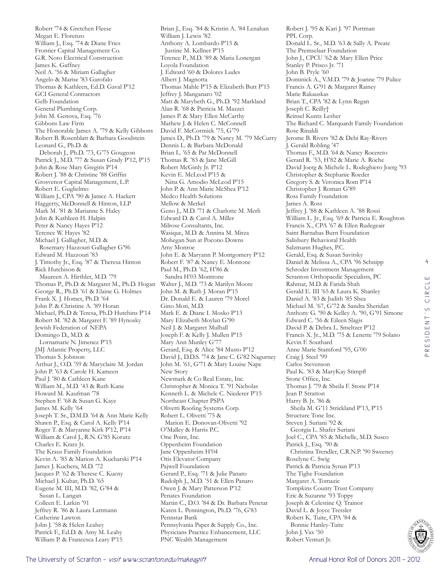Robert '74 & Gretchen Fleese Megan E. Florenzo William J., Esq. '74 & Diane Fries Frontier Capital Management Co. G.R. Noto Electrical Construction James K. Gaffney Neil A. '56 & Miriam Gallagher Angelo & Marise '83 Garofalo Thomas & Kathleen, Ed.D. Gaval P'12 GCI General Contractors Gelb Foundation General Plumbing Corp. John M. Genova, Esq. '76 Gibbons Law Firm The Honorable James A. '79 & Kelly Gibbons Robert B. Rosenblatt & Barbara Goodstein Leonard G., Ph.D. & Deborah J., Ph.D. '73, G'75 Gougeon Patrick J., M.D. '77 & Susan Grady P'12, P'15 John & Rose Mary Gregitis P'14 Robert J. '88 & Christine '88 Griffin Grosvenor Capital Management, L.P. Robert E. Guglielmo William J., CPA '90 & Janice A. Hackett Haggerty, McDonnell & Hinton, LLP Mark M. '81 & Marianne S. Haley John & Kathleen H. Halpin Peter & Nancy Hayes P'12 Terence W. Hayes '82 Michael J. Gallagher, M.D. & Rosemary Hazzouri Gallagher G'96 Edward M. Hazzouri '83 J. Timothy Jr., Esq. '87 & Theresa Hinton Rick Hutchison & Maureen A. Hirthler, M.D. '79 Thomas P., Ph.D. & Margaret M., Ph.D. Hogan George R., Ph.D. '61 & Elaine G. Holmes Frank X. J. Homer, Ph.D. '64 John P. & Christine A. '89 Horan Michael, Ph.D & Teresa, Ph.D Hutchins P'14 Robert M. '82 & Margaret F. '89 Hynosky Jewish Federation of NEPA Domingo D., M.D. & Lornamarie N. Jimenez P'15 JMJ Atlantic Property, LLC Thomas S. Johnson Arthur J., O.D. '59 & Maryclaire M. Jordan John P. '63 & Carole H. Kameen Paul J. '80 & Cathleen Kane William M., M.D. '43 & Ruth Kane Howard M. Kaufman '78 Stephen F. '68 & Susan G. Kaye James M. Kelly '64 Joseph T. Sr., D.M.D. '64 & Ann Marie Kelly Shawn P., Esq. & Carol A. Kelly P'14 Roger T. & Maryanne Kirk P'12, P'14 William & Carol J., R.N. G'85 Korutz Charles E. Kratz Jr. The Kraus Family Foundation Kevin A. '85 & Marion A. Kucharski P'14 James J. Kuchera, M.D. '72 Jacques P. '62 & Therese C. Kueny Michael J. Kuhar, Ph.D. '65 Eugene M. III, M.D. '82, G'84 & Susan L. Langan Colleen E. Larkin '91 Jeffrey R. '86 & Laura Lattmann Catherine Lawton John J. '58 & Helen Leahey Patrick F., Ed.D. & Amy M. Leahy William P. & Francesca Leary P'15

Brian J., Esq. '84 & Kristin A. '84 Lenahan William J. Lewis '82 Anthony A. Lombardo P'15 & Justine M. Kellner P'15 Terence P., M.D. '89 & Maria Lonergan Loyola Foundation J. Edward '60 & Dolores Ludes Albert J. Magnotta Thomas Mahle P'15 & Elizabeth Butt P'15 Jeffrey J. Manganaro '02 Matt & Marybeth G., Ph.D. '92 Markland Alan R. '68 & Patricia M. Mazzei James P. & Mary Ellen McCarthy Mathew J. & Helen C. McConnell David F. McCormick '75, G'79 James D., Ph.D. '79 & Nancy M. '79 McCurry Dennis L. & Barbara McDonald Brian L. '65 & Pat McDonnell Thomas R. '83 & Jane McGill Robert McGinly Jr. P'12 Kevin E. McLeod P'15 & Nina G. Amodio McLeod P'15 John P. & Ann Marie McShea P'12 Medco Health Solutions Mellow & Merkel Geno J., M.D. '71 & Charlotte M. Merli Edward D. & Carol A. Miller Milrose Consultants, Inc. Wasique, M.D. & Annina M. Mirza Mohegan Sun at Pocono Downs Amy Monroe John E. & Maryann P. Montgomery P'12 Robert F. '87 & Nancy E. Montone Paul M., Ph.D. '62, H'86 & Sandra H'03 Montrone Walter J., M.D. '73 & Marilyn Moore John M. & Ruth J. Moran P'15 Dr. Donald E. & Lauren '79 Morel Gino Mori, M.D. Mark E. & Diane I. Mosko P'13 Mary Elizabeth Moylan G'90 Neil J. & Margaret Mulhall Joseph F. & Kelly J. Mullen P'15 Mary Ann Munley G'77 Gerard, Esq. & Alice '84 Musto P'12 David J., D.D.S. '74 & Jane C. G'82 Nagurney John M. '61, G'71 & Mary Louise Nape New Story Newmark & Co Real Estate, Inc. Christopher & Monica T. '91 Nicholas Kenneth L. & Michele C. Niederer P'15 Northeast Chapter PSPA Olivetti Roofing Systems Corp. Robert L. Olivetti '75 & Marion E. Donovan-Olivetti '92 O'Malley & Harris P.C. One Point, Inc. Oppenheim Foundation Jane Oppenheim H'04 Otis Elevator Company Pajwell Foundation Gerard P., Esq. '71 & Julie Panaro Rudolph J., M.D. '51 & Ellen Panaro Owen J. & Mary Patterson P'12 Penates Foundation Martin C., D.O. '84 & Dr. Barbara Penetar Karen L. Pennington, Ph.D. '76, G'83 Pennstar Bank Pennsylvania Paper & Supply Co., Inc. Physicians Practice Enhancement, LLC PNC Wealth Management

Robert J. '95 & Kari J. '97 Portman PPL Corp. Donald L. Sr., M.D. '63 & Sally A. Preate The Premselaar Foundation John J., CPCU '62 & Mary Ellen Price Stanley P. Prisco Jr. '71 John B. Pryle '60 Dominick A., V.M.D. '79 & Joanne '79 Pulice Francis A. G'91 & Margaret Rainey Marie Rakauskas Brian T., CPA '82 & Lynn Regan Joseph C. Reilly† Reinsel Kuntz Lesher The Richard C. Marquardt Family Foundation Rose Rinaldi Jerome B. Rivers '82 & Debi Ray-Rivers J. Gerald Robling '47 Thomas F., M.D. '64 & Nancy Rocereto Gerard R. '53, H'82 & Marie A. Roche David Joerg & Michele L. Rodeghiero Joerg '93 Christopher & Stephanie Roeder Gregory S. & Veronica Rom P'14 Christopher J. Roman G'89 Ross Family Foundation James A. Ross Jeffrey J. '88 & Kathleen A. '88 Rossi William L. Jr., Esq. '69 & Patricia E. Roughton Francis X., CPA '67 & Ellen Rudegeair Saint Barnabas Burn Foundation Salisbury Behavioral Health Salzmann Hughes, P.C. Gerald, Esq. & Susan Savitsky Daniel & Melissa A., CPA '96 Schnipp Schroder Investment Management Scranton Orthopaedic Specialists, PC Rahmat, M.D. & Farida Shah Gerald E. III '65 & Laura K. Shanley Daniel A. '83 & Judith '85 Shea Michael M. '67, G'72 & Sandra Sheridan Anthony G. '90 & Kelley A. '90, G'91 Simone Edward C. '56 & Eileen Slagis David P. & Debra L. Smeltzer P'12 Francis X. Jr., M.D. '75 & Lenette '79 Solano Kevin F. Southard Anne Marie Stamford '95, G'00 Craig J. Steel '99 Carlos Stevenson Paul K. '83 & MaryKay Stimpfl Stone Office, Inc. Thomas J. '79 & Sheila F. Stone P'14 Jean P. Stratton Harry B. Jr. '86 & Sheila M. G'11 Strickland P'13, P'15 Structure Tone Inc. Steven J. Suriani '92 & Georgia L. Shafer Suriani Joel C., CPA '85 & Michelle, M.D. Susco Patrick J., Esq. '90 & Christina Trendler, C.R.N.P. '90 Sweeney Roselyne C. Swig Patrick & Patricia Synan P'13 The Tighe Foundation Margaret A. Tomazic Tompkins County Trust Company Eric & Suzanne '93 Toppy Joseph & Celestine Q. Trainor David L. & Joyce Tressler Robert K. Tuite, CPA '84 & Bonnie Hanley-Tuite John J. Vax '50 Robert Venturi Jr.